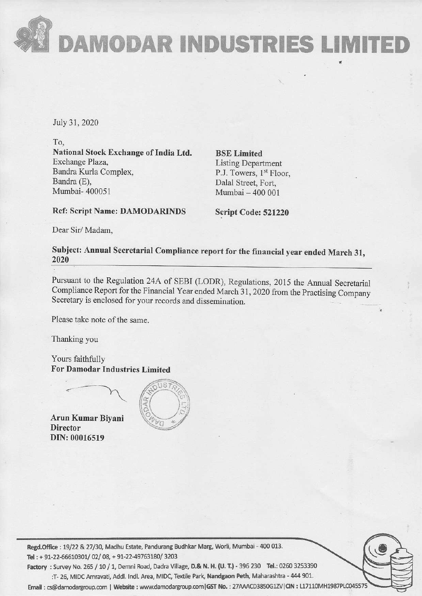DAMODAR INDUSTRIES LIMITE

July 31, 2020

 $\overline{a}$ 

To, National Stock Exchange of India Ltd. BSE Limited Exchange Plaza, Listing Department<br>Bandra Kurla Complex, P.J. Towers, 1st Floc Bandra Kurla Complex,<br>Bandra (E), P.J. Towers, 1<sup>st</sup> Floor,<br>Dalal Street. Fort. Bandra (E), Dalal Street, Fort, Dalal Street, Fort, Numbai - 400 001

Mumbai — 400 001

Ref: Script Name: DAMODARINDS Script Code: 521220

Dear Sir/ Madam,

Subject: Annual Secretarial Compliance report for the financial year ended March 31, <sup>2020</sup>

Pursuant to the Regulation 24A of SEBI (LODR), Regulations, 2015 the Annual Secretarial Compliance Report for the Financial Year ended March 31, 2020 from the Practising Company Secretary is enclosed for your records and d

Please take note of the same.

Thanking you

Yours faithfully For Damodar Industries Limited



Arun Kumar Biyani **Director** DIN: 00016519



ate, Panduran<br>49763180/ 3:<br>i Road, Dadra<br>il. Area, MID<br>: www.damo Regd.Office : 19/22 & 27/30, Madhu Estate, Pandurang Budhkar Marg, Worli, Mumbai - 400 013. Tel : + 91-22-66610301/ 02/ 08, + 91-22-49763180/ 3203 Factory : Survey No. 265 / 10 / 1, Demni Road, Dadra Village, D.& N. H. (U. T.) - 396 230 Tel.: 0260 3253390

:T- 26, MIDC Amravati, Addl. Indl. Area, MIDC, Textile Park, Nandgaon Peth, Maharashtra - 444 901. 

Email: cs@damodargroup.com | Website : www.damodargroup.com|GST No. : 27AAACD3850G1ZV|CIN : L17110MH1987PLC045575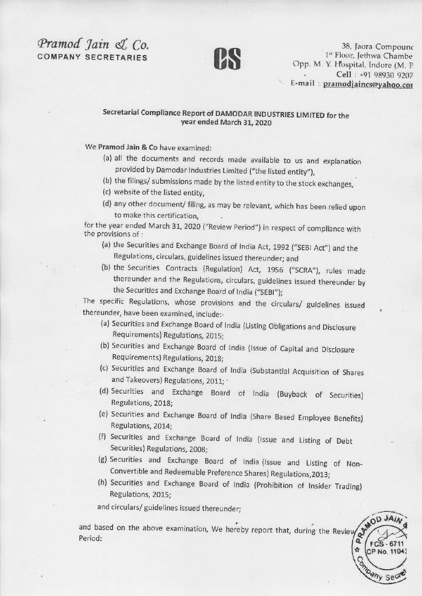## $Pramod$   $Jain$   $\ll$   $Co.$   $38$ , Jaora Compounce  $1^{\text{st}}$  Floor, Jethwa Chambe



COMPANY SECRETARIES <sup>1\*</sup> Floor, Jethwa Chambe<br>Opp. M. Y. Hospital, Indore (M. P : Cell : +91 98930 9207<br>E-mail : <u>pramodjaincs@yahoo.cor</u>

RANDD

## Secretarial Compliance Report of DAMODAR INDUSTRIES LIMITED for the year ended March 31, <sup>2020</sup>

We Pramod Jain & Co have examined:

- (a) all the documents and records made available to us and explanation provided by Damodar Industries Limited ("the listed entity"),
- (b) the filings/ submissions made by the listed entity to the stock exchanges,
- (c) website of the listed entity,
- (d) any other document/ filing, as may be relevant, which has been relied upon to make this certification,

for the year ended March 31, 2020 ("Review Period") in respect of compliance with the provisions of :

- (a) the Securities and Exchange Board of India Act, 1992 ("SEBI Act") and the
- Regulations, circulars, guidelines issued thereunder; and<br>(b) the Securities Contracts (Regulation) Act, 1956 ("SCRA"), rules made the reunder and the Regulations, circulars, guidelines issued the reunder by the Securities and Exchange Board of India ("SEBI");

The specific Regulations, whose provisions and the circulars/ guidelines issued thereunder, have been examined, include:

- (a) Securities and Exchange Board of india (Listing Obligations and Disclosure Requirements) Regulations, 2015;
- (b) Securities and Exchange Board of india {issue of Capital and Disclosure Requirements) Regulations, 2018;
- (c) Securities and Exchange Board of india (Substantial Acquisition of Shares and Takeovers) Regulations, 2011; °
- (d) Securities and Exchange Board of India (Buyback of Securities) Regulations, 2018;
- (e) Securities and Exchange Board of india (Share Based Employee Benefits} Regulations, 2014;
- (f) Securities and Exchange Board of India (Issue and Listing of Debt Securities) Regulations, 2008;
- (g) Securities and Exchange Board of India (Issue and Listing of Non- Convertible and Redeemable Preference Shares) Regulations,2013;
- (h) Securities and Exchange Board of India (Prohibition of Insider Trading) Regulations, 2015;

and circulars/ guidelines issued thereunder;

and based on the above examination, We hereby report that, during the Review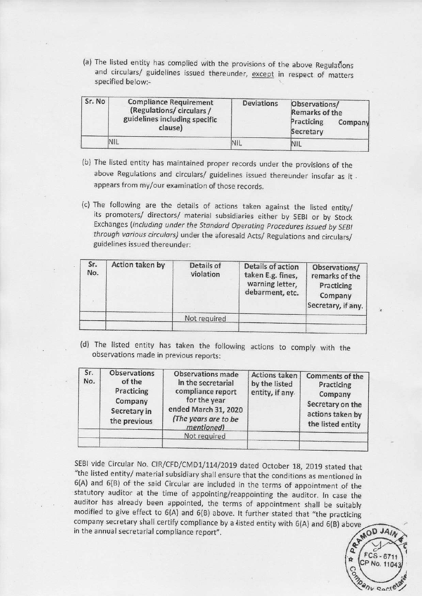(a) The listed entity has complied with the provisions of the above Regulations and circulars/ guidelines issued thereunder, except in respect of matters (a) The listed entity has complied with the and circulars/ guidelines issued there specified below:specified below:-

| and circulars/ guidelines issued thereunder, except in respect of matters<br>specified below:-<br>Sr. No<br><b>Compliance Requirement</b><br><b>Deviations</b><br>Observations/<br>(Regulations/circulars/<br>Remarks of the<br>guidelines including specific<br>Practicing<br>Company<br>clause)<br>Secretary<br>NIL<br>NIL.<br><b>NIL</b> | (a) The listed entity has complied with the provisions of the above Regulations |  |
|---------------------------------------------------------------------------------------------------------------------------------------------------------------------------------------------------------------------------------------------------------------------------------------------------------------------------------------------|---------------------------------------------------------------------------------|--|
|                                                                                                                                                                                                                                                                                                                                             |                                                                                 |  |
|                                                                                                                                                                                                                                                                                                                                             |                                                                                 |  |

- (b) The listed entity has maintained proper records under the provisions of the above Regulations and circulars/ guidelines issued thereunder insofar as it appears from my/our examination of those records.
- (c) The following are the details of actions taken against the listed entity/<br>its promoters/ directors/ material subsidiaries either by SEBI or by Stock<br>Exchanges (including under the Standard Operating Procedures issued b guidelines issued thereunder:

| Sr. No     | <b>Compliance Requirement</b><br>(Regulations/circulars/<br>guidelines including specific<br>clause) | <b>Deviations</b>                                                           | Observations/<br><b>Remarks of the</b><br>Practicing<br>Company<br>Secretary |            |                                                                            |
|------------|------------------------------------------------------------------------------------------------------|-----------------------------------------------------------------------------|------------------------------------------------------------------------------|------------|----------------------------------------------------------------------------|
|            | NIL                                                                                                  |                                                                             | NIL                                                                          | <b>NIL</b> |                                                                            |
|            | through various circulars) under the aforesaid Acts/ Regulations and circulars/                      | Exchanges (including under the Standard Operating Procedures issued by SEBI |                                                                              |            | its promoters/ directors/ material subsidiaries either by SEBI or by Stock |
| Sr.<br>No. | guidelines issued thereunder:<br>Action taken by                                                     | <b>Details of</b><br>violation                                              | <b>Details of action</b><br>taken E.g. fines,                                |            | Observations/<br>remarks of the                                            |
|            |                                                                                                      |                                                                             | warning letter,<br>debarment, etc.                                           |            | Practicing<br>Company                                                      |
|            |                                                                                                      | Not required                                                                |                                                                              |            | Secretary, if any.                                                         |

|            | guidelines issued thereunder:                                                          | (b) The listed entity has maintained proper records under the provisions of the<br>above Regulations and circulars/ guidelines issued thereunder insofar as it.<br>appears from my/our examination of those records.<br>(c) The following are the details of actions taken against the listed entity/<br>its promoters/ directors/ material subsidiaries either by SEBI or by Stock<br>Exchanges (including under the Standard Operating Procedures issued by SEBI<br>through various circulars) under the aforesaid Acts/ Regulations and circulars/ |                                                                              |                                                                                         |  |
|------------|----------------------------------------------------------------------------------------|-------------------------------------------------------------------------------------------------------------------------------------------------------------------------------------------------------------------------------------------------------------------------------------------------------------------------------------------------------------------------------------------------------------------------------------------------------------------------------------------------------------------------------------------------------|------------------------------------------------------------------------------|-----------------------------------------------------------------------------------------|--|
| Sr.<br>No. | Action taken by                                                                        | Details of<br>violation                                                                                                                                                                                                                                                                                                                                                                                                                                                                                                                               | Details of action<br>taken E.g. fines,<br>warning letter,<br>debarment, etc. | Observations/<br>remarks of the<br>Practicing<br>Company<br>Secretary, if any.          |  |
|            |                                                                                        | Not required                                                                                                                                                                                                                                                                                                                                                                                                                                                                                                                                          |                                                                              |                                                                                         |  |
| Sr.<br>No. | <b>Observations</b><br>of the<br>Practicing<br>Company<br>Secretary in<br>the previous | (d) The listed entity has taken the following actions to comply with the<br>observations made in previous reports:<br><b>Observations made</b><br>in the secretarial<br>compliance report<br>for the year<br>ended March 31, 2020<br>(The years are to be                                                                                                                                                                                                                                                                                             | <b>Actions taken</b><br>by the listed<br>entity, if any                      | <b>Comments of the</b><br>Practicing<br>Company<br>Secretary on the<br>actions taken by |  |
|            |                                                                                        | mentioned)<br>Not required                                                                                                                                                                                                                                                                                                                                                                                                                                                                                                                            |                                                                              | the listed entity                                                                       |  |

SEBI vide Circular No. CIR/CFD/CMD1/114/2019 dated October 18, 2019 stated that<br>"the listed entity/ material subsidiary shall ensure that the conditions as mentioned in<br>6(A) and 6(B) of the said Circular are included in t



 $\sim$   $\sim$